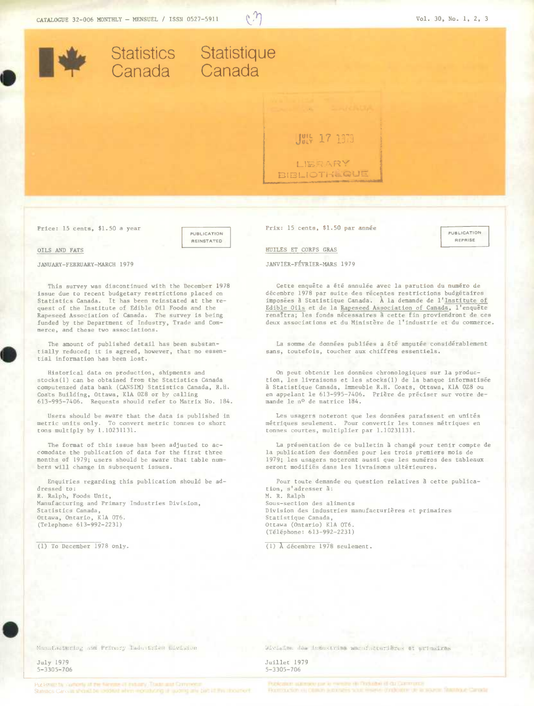

*Price:* 15 cents, \$1.50 *a* year

PUBLICATION **AEINSTATED** 

## OILS AND FATS

JANUARY-FEBRUARY-MARCH 1979

This survey was discontinued with the December 1978 issuedue to recent budgetary restrictions placed on Statistics Canada. It has been reinstated at the request of the Institute of Edible Oil Foods and the Rapeseed Association of Canada. The survey is being funded by the Department of Industry, Trade and Commerce, and these two associations.

The amount of published detail has been substantially reduced; it is agreed, however, that no essential information has been lost.

Historical data on production, shipments and stocks(1) can be obtained from the Statistics Canada computenzed data bank (CANSIM) Statistics Canada, R.H. Coats Building, Ottawa, KlA 0Z8 or by calling<br>613-995-7406. Requests should refer to Matrix No. 184.

Users should be aware that the data is published in metric units only. To convert metric tonnes to short tons multiply by 1.10231131.

The format of this issue has been adjusted to accomodate the publication of data for the first three months of 1979; users should be aware that table numbers will change in subsequent issues.

Enquiries regarding this publication should be addressed to: R. Ralph, Foods Unit, Manufacturing and Primary Industries Division, Statistics Canada, Ottawa, Ontario, KlA 0T6. (Telephone 613-992-2231)

(1) To December 1978 only.

Prix: 15 cents, \$1.50 par année

**PUBLICATION AEPRISE** 

HUILES ET CORPS GRAS

JANVIER-FÉVRIER-MARS 1979

Cette enquête a été annulée avec la parution du numéro de décembre 1978 par suite des récentes restrictions budgétaires<br>imposées à Statistique Canada. À la demande de l'<u>Institute of</u> Edible Oils et de la Rapeseed Association of Canada, l'enquête renaîtra; les fonds nécessaires à cette fin proviendront de ces deux associations et du Ministère de l'industrie et du commerce.

La somme de donnéea publiées a été amputee considérablement sans, toutefois, toucher aux chiffres essentiels.

On peut obtenir les données chronologiques sur la production, les livraisons et les stocks(1) de la banque informatisée a Statistique Canada, Immeuble R.H. Coats, Ottawa, K1A 0Z8 ou en appelant le 613-995-7406. PriRre de préciser sur votre demande le no de matrice 184.

Les usagers noteront que les données paraissent en unités métriques seulement. Pour convertir les tonnes métriques en tonnes courtes, multiplier par 1.10231131.

La présentation de ce bulletin à changé pour tenir compte de la publication des données pour les trois premiers mois de 1979; les usagers noteront aussi que les numéros des tableaux seront modifiés dans les livraisons ultérieures.

Pour toute demande ou question relatives à cette publication, s'adresser a: M. R. Ralph Sous-section des aliments Division des industries manufacturières et primaires Statistique Canada, Ottawa (Ontario) K1A 016. (Téléphone: 613-992-2231)

(1) **A** décembre 1978 seulement.

Manufacturing and Primary Industries Division

July 1979 5-3305-706

**.** 

Division des industries manufacturières et primaires

Juillet 1979 5-3 305-7 06

Published by systemic at the Nertons 41 minutes That that Common

Publication automobilitant for member distinguished of data community Receive for an other is provided what makes dyelloattic de la source. Thantout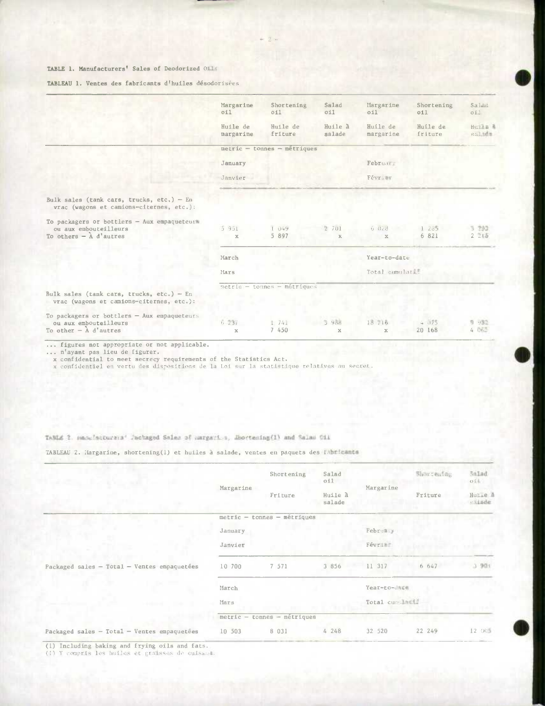|  |  |  | TABLEAU 1. Ventes des fabricants d'huiles désodorisées |  |  |  |  |
|--|--|--|--------------------------------------------------------|--|--|--|--|
|--|--|--|--------------------------------------------------------|--|--|--|--|

|                                                                                                   | Margarine                   | Shortening                  | Salad                 | Margarine              | Shortening          | Salad             |  |  |  |
|---------------------------------------------------------------------------------------------------|-----------------------------|-----------------------------|-----------------------|------------------------|---------------------|-------------------|--|--|--|
|                                                                                                   | 011                         | O11                         | O11                   | O11                    | 011                 | oi!               |  |  |  |
|                                                                                                   | Huile de<br>margarine       | Huile de<br>friture         | Huile à<br>salade     | Huile de<br>margarine  | Huile de<br>friture | Huile &<br>salada |  |  |  |
|                                                                                                   | metric - tonnes - métriques |                             |                       |                        |                     |                   |  |  |  |
|                                                                                                   | January                     |                             |                       | February               |                     |                   |  |  |  |
|                                                                                                   | Janvier                     |                             |                       | Février                |                     |                   |  |  |  |
| Bulk sales (tank cars, trucks, etc,) - En<br>vrac (wagons et camions-citernes, etc.):             |                             |                             |                       |                        |                     |                   |  |  |  |
| To packagers or bottlers - Aux empaqueteurs<br>ou aux embouteilleurs<br>To others $ \AA$ d'autres | 5951<br>$\mathbb X$         | 1 049<br>5 897              | 2 701<br>$\mathbf{x}$ | 6 028<br>$\mathbf{x}$  | 1235<br>6 821       | 3 293<br>2.715    |  |  |  |
|                                                                                                   | March                       |                             |                       | Year-to-date           |                     |                   |  |  |  |
|                                                                                                   | Mars                        |                             |                       | Total cumulati         |                     |                   |  |  |  |
|                                                                                                   |                             | metric - tonnes - métriques |                       |                        |                     |                   |  |  |  |
| Bulk sales (tank cars, trucks, etc.) - En<br>vrac (wagons et camions-citernes, etc.):             |                             |                             |                       |                        |                     |                   |  |  |  |
| To packagers or bottlers - Aux empaqueteurs                                                       |                             |                             |                       |                        |                     |                   |  |  |  |
| ou aux embouteilleurs<br>To other $ \AA$ d'autres                                                 | 6.237<br>$\mathbf x$        | 1741<br>7 450               | 3 988<br>$\mathbf{x}$ | 15 216<br>$\mathbf{x}$ | 4075<br>20 168      | 9.952<br>4 Dt.    |  |  |  |

... n'ayant pas lieu de figurer.<br>x confidential to meet secrecy requirements of the Statistics Act.<br>x confidentiel en vertu des dispositions de la Loi sur la statistique relatives au secret.

## TAMLE 2. Hackfatturers' Jackaged Salas of Hargaries, Ebortesing(I) and Salas Cil

TABLEAU 2. Margarine, shortening(1) et huiles à salade, ventes en paquets des l'abricants

|                                                                    | Margarine | Shortening                    | Salad<br>011      |                 | Shortening | Salad<br>01       |
|--------------------------------------------------------------------|-----------|-------------------------------|-------------------|-----------------|------------|-------------------|
|                                                                    |           | Friture                       | Huile à<br>salade | Margarine       | Friture    | Hutle A<br>saimde |
|                                                                    |           | $metric - tonnes - métriques$ |                   |                 |            |                   |
|                                                                    | January   |                               |                   | February        |            |                   |
|                                                                    | Janvier   |                               |                   | Févrime         |            |                   |
| Packaged sales - Total - Ventes empaquetées<br><b>Scott Street</b> | 10 700    | 7 571                         | 3 856             | 11 317          | 6 647      | 3 901             |
|                                                                    | March     |                               |                   | Year-to-dage    |            |                   |
|                                                                    | Mars      |                               |                   | Total cumulardi |            |                   |
|                                                                    |           | $metric - tonnes - métriques$ |                   |                 |            |                   |
| Packaged sales - Total - Ventes empaquetées                        | 10 503    | 8 0 3 1                       | 4 248             | 32 520          | 22 249     | 12 005            |

(1) Including baking and frying oils and fats.<br>(1) Y compris les huiles et graisses de cuissea.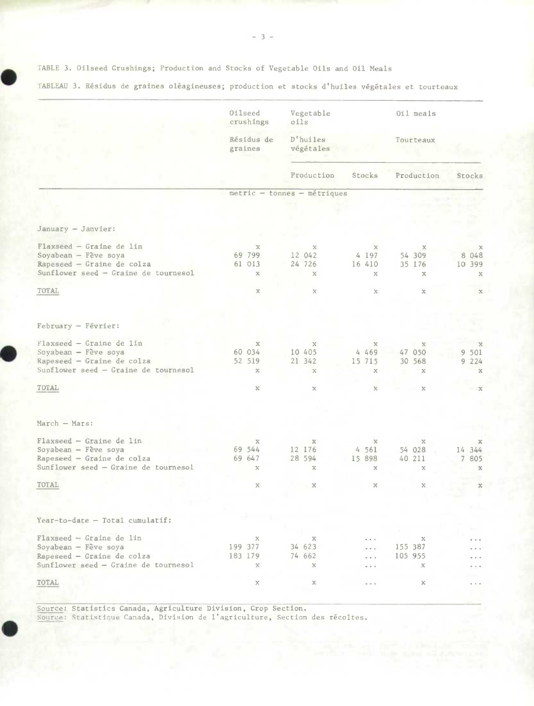• TABLE 3. Oilseed Crushings; Production and Stocks of Vegetable Oils and Oil **Meals** 

Oilseed Vegetable 0ilmeals<br> **Crushings** oils crushings Résidus de D'huiles de Tourteaux<br>graines végétales végétales Production Stocks Production Stocks metric - tonnes - métriques January - Janvier: Flaxseed - Graine de lin x x x x x Soyabean - Fève soya 69 799 12 042 4 197 54 309 8 048  $Rapeseed - Graine de colza$ Sunflower seed - Graine de tournesol x x x x x  $\begin{array}{ccc} \text{TOTAL} & \text{x} & \text{x} & \text{x} & \text{x} & \text{x} \end{array}$ February - Février: Flaxseed - Graine de un x x x x x Soyabean – Fève soya<br>
Soyabean – Fève soya<br>
South 21 342 15 715 30 568 9 224 **Rapeseed – Graine de colza** 52 519<br> **Sunflower seed – Graine de tournesol**  $\boldsymbol{x}$ Sunflower **seed** - Graine de tournesol x x x x x  $\begin{array}{ccc} \text{TOTAL} & \text{x} & \text{x} & \text{x} & \text{x} & \text{x} \end{array}$ March - Mars: Flaxseed - Graine de lin x x x x X Soyabean - Fve soya 69 544 12 176 4 561 54 028 14 344  $Rapeseed - Graine de colza$ Sunflower seed - Graine de tournesol x x x x x  $\begin{array}{ccc} \text{TOTAL} & \text{x} & \text{x} & \text{x} & \text{x} \end{array}$  $Year-to-date - Total cumulative:$ Flaxseed - Graine de 1in  $\begin{array}{ccc} x & x & \dots & x \\ 0 & 199 & 377 & 34 & 623 & \dots & 155 & 387 \end{array}$ Soyabean - Fve soya 199 377 34 623 ... 155 387 a a c **Rapeseed** - **Graine de coiza** 183 179 74 662 ... 105 955 a a la Sunflower seed - Graine de tournesol x x x ...  $\ddot{\phantom{a}}$  $\sim$ TOTAL  $\mathbf{x}$   $\mathbf{x}$   $\cdots$   $\mathbf{x}$ 

**Source: Statistics Canada, Agriculture** Division, Crop Section.

Source: Statistique Canada, Division de l'agriculture, Section des récoltes.

TABLEAU 3. Résidus de graines **oléagineuses;** production et stocks d'huiles végétales et tourteaux